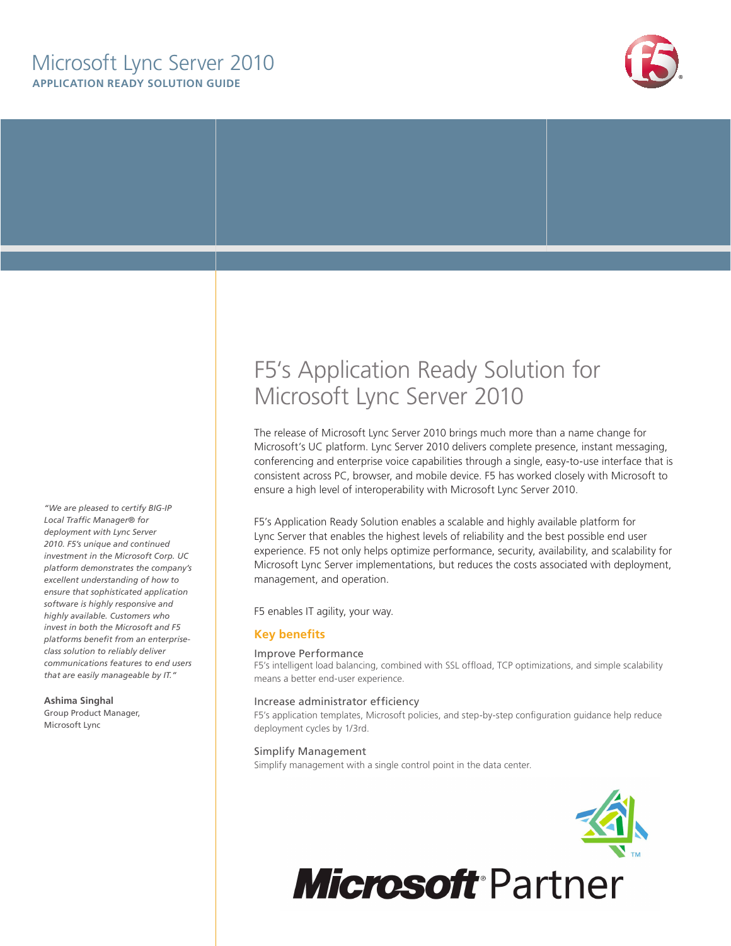## **APPLICATION READY SOLUTION GUIDE** Microsoft Lync Server 2010



*"We are pleased to certify BIG-IP Local Traffic Manager® for deployment with Lync Server 2010. F5's unique and continued investment in the Microsoft Corp. UC platform demonstrates the company's excellent understanding of how to ensure that sophisticated application software is highly responsive and highly available. Customers who invest in both the Microsoft and F5 platforms benefit from an enterpriseclass solution to reliably deliver communications features to end users that are easily manageable by IT."*

#### **Ashima Singhal**

Group Product Manager, Microsoft Lync

# F5's Application Ready Solution for Microsoft Lync Server 2010

The release of Microsoft Lync Server 2010 brings much more than a name change for Microsoft's UC platform. Lync Server 2010 delivers complete presence, instant messaging, conferencing and enterprise voice capabilities through a single, easy-to-use interface that is consistent across PC, browser, and mobile device. F5 has worked closely with Microsoft to ensure a high level of interoperability with Microsoft Lync Server 2010.

F5's Application Ready Solution enables a scalable and highly available platform for Lync Server that enables the highest levels of reliability and the best possible end user experience. F5 not only helps optimize performance, security, availability, and scalability for Microsoft Lync Server implementations, but reduces the costs associated with deployment, management, and operation.

F5 enables IT agility, your way.

#### **Key benefits**

#### Improve Performance

F5's intelligent load balancing, combined with SSL offload, TCP optimizations, and simple scalability means a better end-user experience.

#### Increase administrator efficiency

F5's application templates, Microsoft policies, and step-by-step configuration guidance help reduce deployment cycles by 1/3rd.

#### Simplify Management

Simplify management with a single control point in the data center.



**Microsoft Partner**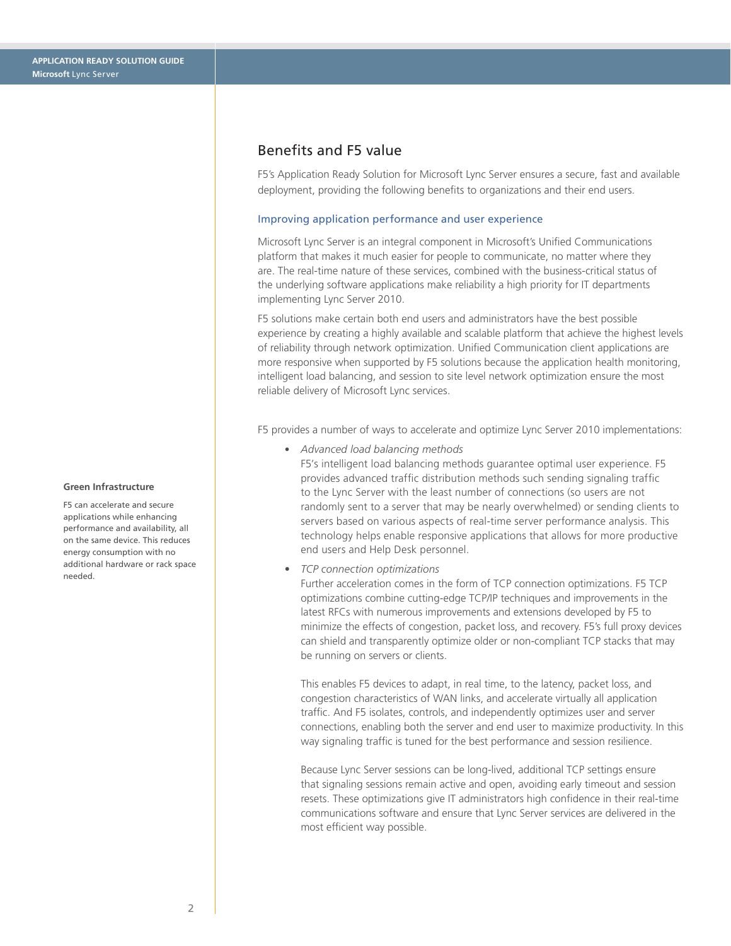## Benefits and F5 value

F5's Application Ready Solution for Microsoft Lync Server ensures a secure, fast and available deployment, providing the following benefits to organizations and their end users.

#### Improving application performance and user experience

Microsoft Lync Server is an integral component in Microsoft's Unified Communications platform that makes it much easier for people to communicate, no matter where they are. The real-time nature of these services, combined with the business-critical status of the underlying software applications make reliability a high priority for IT departments implementing Lync Server 2010.

F5 solutions make certain both end users and administrators have the best possible experience by creating a highly available and scalable platform that achieve the highest levels of reliability through network optimization. Unified Communication client applications are more responsive when supported by F5 solutions because the application health monitoring, intelligent load balancing, and session to site level network optimization ensure the most reliable delivery of Microsoft Lync services.

F5 provides a number of ways to accelerate and optimize Lync Server 2010 implementations:

• *Advanced load balancing methods*

F5's intelligent load balancing methods guarantee optimal user experience. F5 provides advanced traffic distribution methods such sending signaling traffic to the Lync Server with the least number of connections (so users are not randomly sent to a server that may be nearly overwhelmed) or sending clients to servers based on various aspects of real-time server performance analysis. This technology helps enable responsive applications that allows for more productive end users and Help Desk personnel.

• *TCP connection optimizations*

Further acceleration comes in the form of TCP connection optimizations. F5 TCP optimizations combine cutting-edge TCP/IP techniques and improvements in the latest RFCs with numerous improvements and extensions developed by F5 to minimize the effects of congestion, packet loss, and recovery. F5's full proxy devices can shield and transparently optimize older or non-compliant TCP stacks that may be running on servers or clients.

This enables F5 devices to adapt, in real time, to the latency, packet loss, and congestion characteristics of WAN links, and accelerate virtually all application traffic. And F5 isolates, controls, and independently optimizes user and server connections, enabling both the server and end user to maximize productivity. In this way signaling traffic is tuned for the best performance and session resilience.

Because Lync Server sessions can be long-lived, additional TCP settings ensure that signaling sessions remain active and open, avoiding early timeout and session resets. These optimizations give IT administrators high confidence in their real-time communications software and ensure that Lync Server services are delivered in the most efficient way possible.

#### **Green Infrastructure**

F5 can accelerate and secure applications while enhancing performance and availability, all on the same device. This reduces energy consumption with no additional hardware or rack space needed.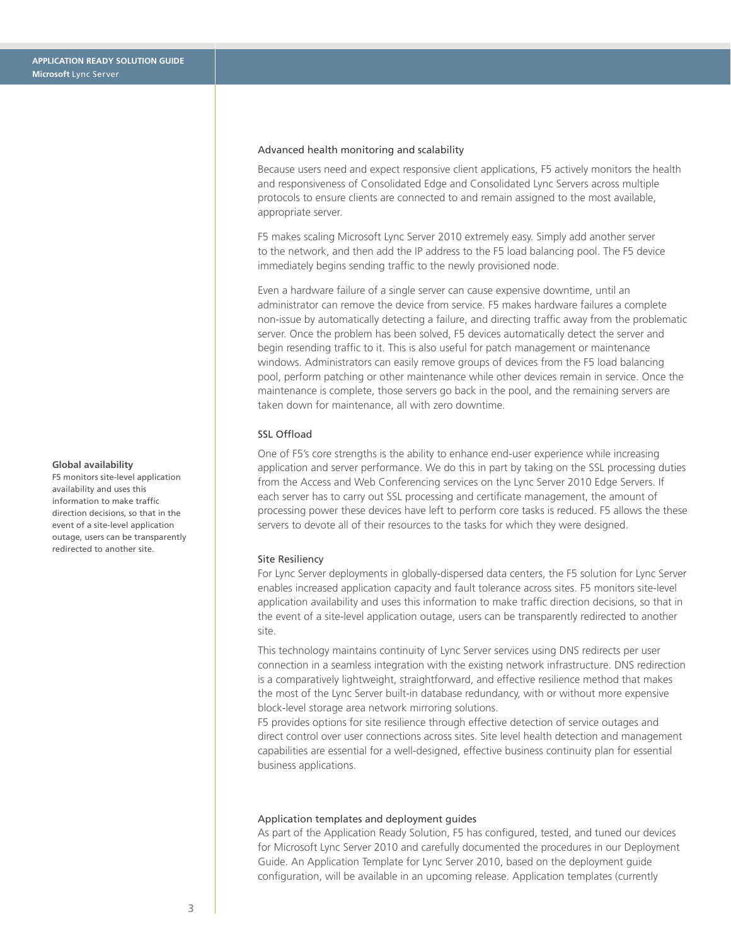#### **Global availability**

F5 monitors site-level application availability and uses this information to make traffic direction decisions, so that in the event of a site-level application outage, users can be transparently redirected to another site.

#### Advanced health monitoring and scalability

Because users need and expect responsive client applications, F5 actively monitors the health and responsiveness of Consolidated Edge and Consolidated Lync Servers across multiple protocols to ensure clients are connected to and remain assigned to the most available, appropriate server.

F5 makes scaling Microsoft Lync Server 2010 extremely easy. Simply add another server to the network, and then add the IP address to the F5 load balancing pool. The F5 device immediately begins sending traffic to the newly provisioned node.

Even a hardware failure of a single server can cause expensive downtime, until an administrator can remove the device from service. F5 makes hardware failures a complete non-issue by automatically detecting a failure, and directing traffic away from the problematic server. Once the problem has been solved, F5 devices automatically detect the server and begin resending traffic to it. This is also useful for patch management or maintenance windows. Administrators can easily remove groups of devices from the F5 load balancing pool, perform patching or other maintenance while other devices remain in service. Once the maintenance is complete, those servers go back in the pool, and the remaining servers are taken down for maintenance, all with zero downtime.

#### SSL Offload

One of F5's core strengths is the ability to enhance end-user experience while increasing application and server performance. We do this in part by taking on the SSL processing duties from the Access and Web Conferencing services on the Lync Server 2010 Edge Servers. If each server has to carry out SSL processing and certificate management, the amount of processing power these devices have left to perform core tasks is reduced. F5 allows the these servers to devote all of their resources to the tasks for which they were designed.

#### Site Resiliency

For Lync Server deployments in globally-dispersed data centers, the F5 solution for Lync Server enables increased application capacity and fault tolerance across sites. F5 monitors site-level application availability and uses this information to make traffic direction decisions, so that in the event of a site-level application outage, users can be transparently redirected to another site.

This technology maintains continuity of Lync Server services using DNS redirects per user connection in a seamless integration with the existing network infrastructure. DNS redirection is a comparatively lightweight, straightforward, and effective resilience method that makes the most of the Lync Server built-in database redundancy, with or without more expensive block-level storage area network mirroring solutions.

F5 provides options for site resilience through effective detection of service outages and direct control over user connections across sites. Site level health detection and management capabilities are essential for a well-designed, effective business continuity plan for essential business applications.

#### Application templates and deployment guides

As part of the Application Ready Solution, F5 has configured, tested, and tuned our devices for Microsoft Lync Server 2010 and carefully documented the procedures in our Deployment Guide. An Application Template for Lync Server 2010, based on the deployment guide configuration, will be available in an upcoming release. Application templates (currently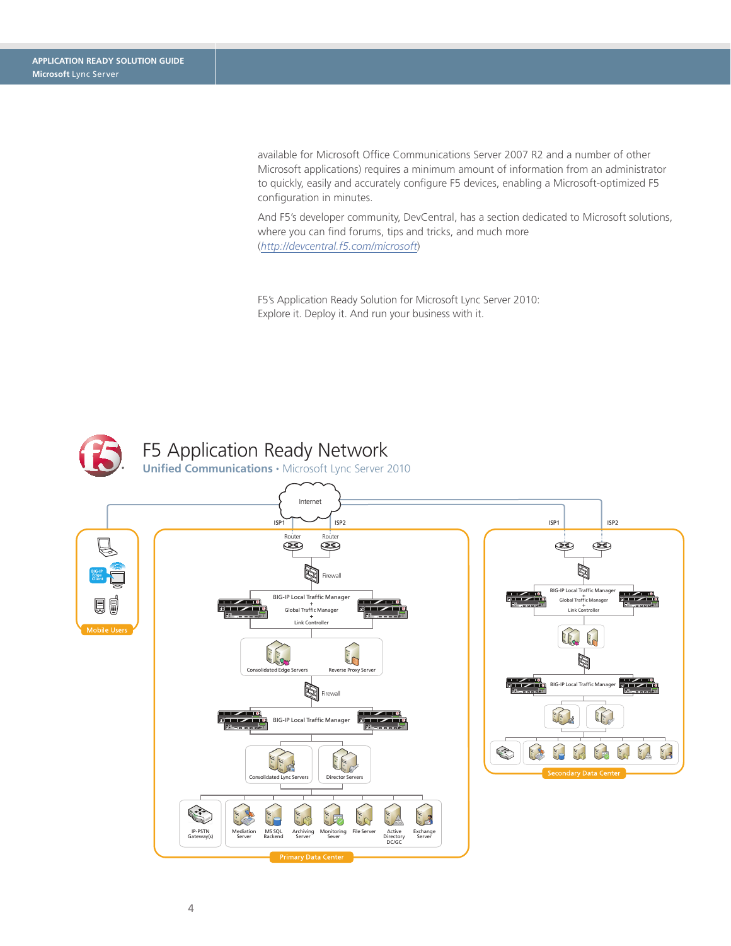available for Microsoft Office Communications Server 2007 R2 and a number of other Microsoft applications) requires a minimum amount of information from an administrator to quickly, easily and accurately configure F5 devices, enabling a Microsoft-optimized F5 configuration in minutes.

And F5's developer community, DevCentral, has a section dedicated to Microsoft solutions, where you can find forums, tips and tricks, and much more (*<http://devcentral.f5.com/microsoft>*)

F5's Application Ready Solution for Microsoft Lync Server 2010: Explore it. Deploy it. And run your business with it.